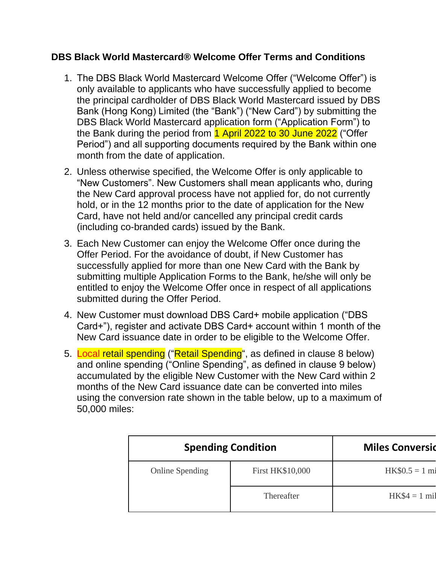## **DBS Black World Mastercard® Welcome Offer Terms and Conditions**

- 1. The DBS Black World Mastercard Welcome Offer ("Welcome Offer") is only available to applicants who have successfully applied to become the principal cardholder of DBS Black World Mastercard issued by DBS Bank (Hong Kong) Limited (the "Bank") ("New Card") by submitting the DBS Black World Mastercard application form ("Application Form") to the Bank during the period from 1 April 2022 to 30 June 2022 ("Offer Period") and all supporting documents required by the Bank within one month from the date of application.
- 2. Unless otherwise specified, the Welcome Offer is only applicable to "New Customers". New Customers shall mean applicants who, during the New Card approval process have not applied for, do not currently hold, or in the 12 months prior to the date of application for the New Card, have not held and/or cancelled any principal credit cards (including co-branded cards) issued by the Bank.
- 3. Each New Customer can enjoy the Welcome Offer once during the Offer Period. For the avoidance of doubt, if New Customer has successfully applied for more than one New Card with the Bank by submitting multiple Application Forms to the Bank, he/she will only be entitled to enjoy the Welcome Offer once in respect of all applications submitted during the Offer Period.
- 4. New Customer must download DBS Card+ mobile application ("DBS Card+"), register and activate DBS Card+ account within 1 month of the New Card issuance date in order to be eligible to the Welcome Offer.
- 5. Local retail spending ("Retail Spending", as defined in clause 8 below) and online spending ("Online Spending", as defined in clause 9 below) accumulated by the eligible New Customer with the New Card within 2 months of the New Card issuance date can be converted into miles using the conversion rate shown in the table below, up to a maximum of 50,000 miles:

| <b>Spending Condition</b> | <b>Miles Conversid</b>  |                         |  |  |
|---------------------------|-------------------------|-------------------------|--|--|
| <b>Online Spending</b>    | <b>First HK\$10,000</b> | $HK$0.5 = 1 \text{ mi}$ |  |  |
|                           | Thereafter              | $HK$4 = 1$ mil          |  |  |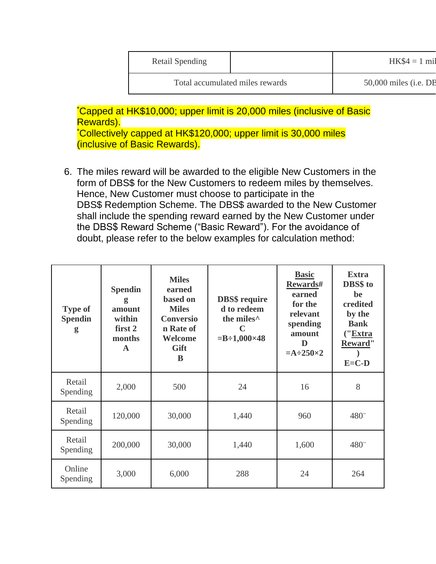| Retail Spending                 | $HK$4 = 1$ mil          |
|---------------------------------|-------------------------|
| Total accumulated miles rewards | $50,000$ miles (i.e. DB |

\*Capped at HK\$10,000; upper limit is 20,000 miles (inclusive of Basic Rewards).

\*Collectively capped at HK\$120,000; upper limit is 30,000 miles (inclusive of Basic Rewards).

6. The miles reward will be awarded to the eligible New Customers in the form of DBS\$ for the New Customers to redeem miles by themselves. Hence, New Customer must choose to participate in the DBS\$ Redemption Scheme. The DBS\$ awarded to the New Customer shall include the spending reward earned by the New Customer under the DBS\$ Reward Scheme ("Basic Reward"). For the avoidance of doubt, please refer to the below examples for calculation method:

| <b>Type of</b><br><b>Spendin</b><br>g | <b>Spendin</b><br>g<br>amount<br>within<br>first 2<br>months<br>A | <b>Miles</b><br>earned<br>based on<br><b>Miles</b><br><b>Conversio</b><br>n Rate of<br>Welcome<br>Gift<br>R | <b>DBS\$</b> require<br>d to redeem<br>the miles <sup>^</sup><br>C<br>$=B-1,000\times48$ | <b>Basic</b><br>Rewards#<br>earned<br>for the<br>relevant<br>spending<br>amount<br>D<br>$=A\div 250\times 2$ | <b>Extra</b><br>DBS\$ to<br>be<br>credited<br>by the<br><b>Bank</b><br>("Extra<br>Reward"<br>$E=C-D$ |
|---------------------------------------|-------------------------------------------------------------------|-------------------------------------------------------------------------------------------------------------|------------------------------------------------------------------------------------------|--------------------------------------------------------------------------------------------------------------|------------------------------------------------------------------------------------------------------|
| Retail<br>Spending                    | 2,000                                                             | 500                                                                                                         | 24                                                                                       | 16                                                                                                           | 8                                                                                                    |
| Retail<br>Spending                    | 120,000                                                           | 30,000                                                                                                      | 1,440                                                                                    | 960                                                                                                          | $480^\circ$                                                                                          |
| Retail<br>Spending                    | 200,000                                                           | 30,000                                                                                                      | 1,440                                                                                    | 1,600                                                                                                        | $480^\circ$                                                                                          |
| Online<br>Spending                    | 3,000                                                             | 6,000                                                                                                       | 288                                                                                      | 24                                                                                                           | 264                                                                                                  |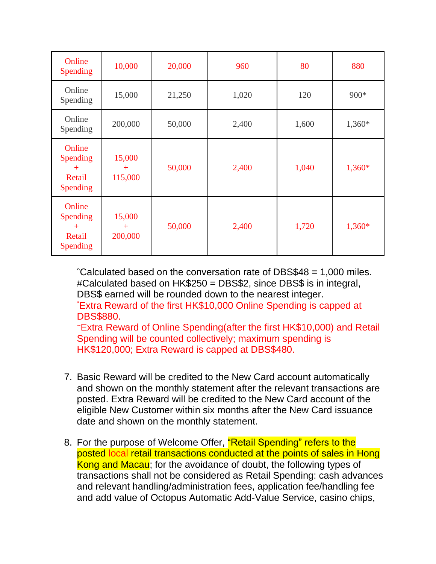| Online<br><b>Spending</b>                       | 10,000                      | 20,000 | 960   | 80    | 880      |
|-------------------------------------------------|-----------------------------|--------|-------|-------|----------|
| Online<br>Spending                              | 15,000                      | 21,250 | 1,020 | 120   | 900*     |
| Online<br>Spending                              | 200,000                     | 50,000 | 2,400 | 1,600 | 1,360*   |
| Online<br>Spending<br>$+$<br>Retail<br>Spending | 15,000<br>$^{+}$<br>115,000 | 50,000 | 2,400 | 1,040 | 1,360*   |
| Online<br>Spending<br>$+$<br>Retail<br>Spending | 15,000<br>$+$<br>200,000    | 50,000 | 2,400 | 1,720 | $1,360*$ |

 $^{\circ}$ Calculated based on the conversation rate of DBS\$48 = 1,000 miles. #Calculated based on HK\$250 = DBS\$2, since DBS\$ is in integral, DBS\$ earned will be rounded down to the nearest integer.

\*Extra Reward of the first HK\$10,000 Online Spending is capped at DBS\$880.

<sup>~</sup>Extra Reward of Online Spending(after the first HK\$10,000) and Retail Spending will be counted collectively; maximum spending is HK\$120,000; Extra Reward is capped at DBS\$480.

- 7. Basic Reward will be credited to the New Card account automatically and shown on the monthly statement after the relevant transactions are posted. Extra Reward will be credited to the New Card account of the eligible New Customer within six months after the New Card issuance date and shown on the monthly statement.
- 8. For the purpose of Welcome Offer, "Retail Spending" refers to the posted local retail transactions conducted at the points of sales in Hong Kong and Macau; for the avoidance of doubt, the following types of transactions shall not be considered as Retail Spending: cash advances and relevant handling/administration fees, application fee/handling fee and add value of Octopus Automatic Add-Value Service, casino chips,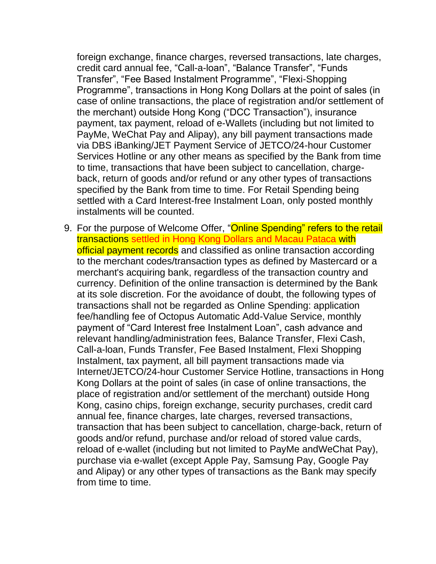foreign exchange, finance charges, reversed transactions, late charges, credit card annual fee, "Call-a-loan", "Balance Transfer", "Funds Transfer", "Fee Based Instalment Programme", "Flexi-Shopping Programme", transactions in Hong Kong Dollars at the point of sales (in case of online transactions, the place of registration and/or settlement of the merchant) outside Hong Kong ("DCC Transaction"), insurance payment, tax payment, reload of e-Wallets (including but not limited to PayMe, WeChat Pay and Alipay), any bill payment transactions made via DBS iBanking/JET Payment Service of JETCO/24-hour Customer Services Hotline or any other means as specified by the Bank from time to time, transactions that have been subject to cancellation, chargeback, return of goods and/or refund or any other types of transactions specified by the Bank from time to time. For Retail Spending being settled with a Card Interest-free Instalment Loan, only posted monthly instalments will be counted.

9. For the purpose of Welcome Offer, "Online Spending" refers to the retail transactions settled in Hong Kong Dollars and Macau Pataca with official payment records and classified as online transaction according to the merchant codes/transaction types as defined by Mastercard or a merchant's acquiring bank, regardless of the transaction country and currency. Definition of the online transaction is determined by the Bank at its sole discretion. For the avoidance of doubt, the following types of transactions shall not be regarded as Online Spending: application fee/handling fee of Octopus Automatic Add-Value Service, monthly payment of "Card Interest free Instalment Loan", cash advance and relevant handling/administration fees, Balance Transfer, Flexi Cash, Call-a-loan, Funds Transfer, Fee Based Instalment, Flexi Shopping Instalment, tax payment, all bill payment transactions made via Internet/JETCO/24-hour Customer Service Hotline, transactions in Hong Kong Dollars at the point of sales (in case of online transactions, the place of registration and/or settlement of the merchant) outside Hong Kong, casino chips, foreign exchange, security purchases, credit card annual fee, finance charges, late charges, reversed transactions, transaction that has been subject to cancellation, charge-back, return of goods and/or refund, purchase and/or reload of stored value cards, reload of e-wallet (including but not limited to PayMe andWeChat Pay), purchase via e-wallet (except Apple Pay, Samsung Pay, Google Pay and Alipay) or any other types of transactions as the Bank may specify from time to time.